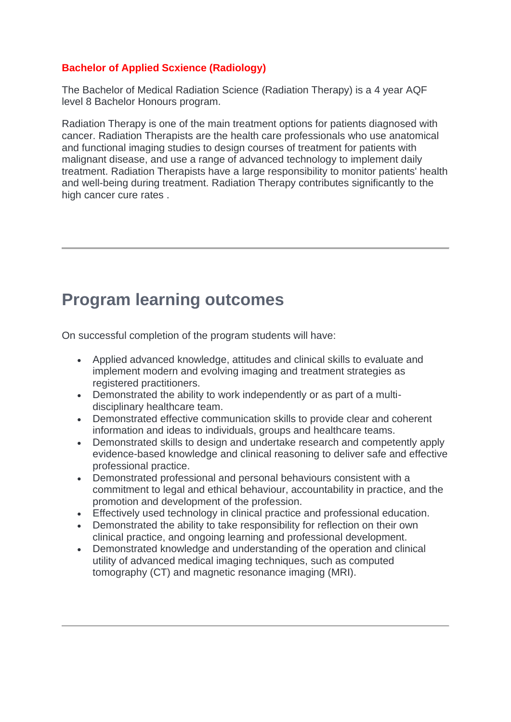#### **Bachelor of Applied Scxience (Radiology)**

The Bachelor of Medical Radiation Science (Radiation Therapy) is a 4 year AQF level 8 Bachelor Honours program.

Radiation Therapy is one of the main treatment options for patients diagnosed with cancer. Radiation Therapists are the health care professionals who use anatomical and functional imaging studies to design courses of treatment for patients with malignant disease, and use a range of advanced technology to implement daily treatment. Radiation Therapists have a large responsibility to monitor patients' health and well-being during treatment. Radiation Therapy contributes significantly to the high cancer cure rates .

## **Program learning outcomes**

On successful completion of the program students will have:

- Applied advanced knowledge, attitudes and clinical skills to evaluate and implement modern and evolving imaging and treatment strategies as registered practitioners.
- Demonstrated the ability to work independently or as part of a multidisciplinary healthcare team.
- Demonstrated effective communication skills to provide clear and coherent information and ideas to individuals, groups and healthcare teams.
- Demonstrated skills to design and undertake research and competently apply evidence-based knowledge and clinical reasoning to deliver safe and effective professional practice.
- Demonstrated professional and personal behaviours consistent with a commitment to legal and ethical behaviour, accountability in practice, and the promotion and development of the profession.
- Effectively used technology in clinical practice and professional education.
- Demonstrated the ability to take responsibility for reflection on their own clinical practice, and ongoing learning and professional development.
- Demonstrated knowledge and understanding of the operation and clinical utility of advanced medical imaging techniques, such as computed tomography (CT) and magnetic resonance imaging (MRI).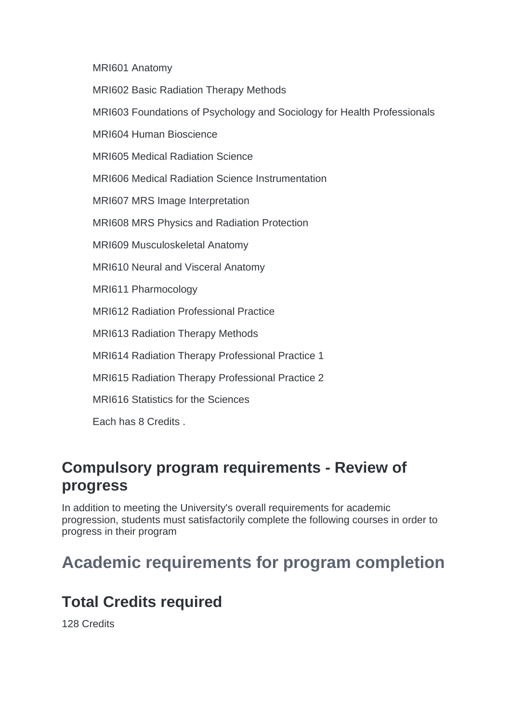MRI601 Anatomy

MRI602 Basic Radiation Therapy Methods

MRI603 Foundations of Psychology and Sociology for Health Professionals

MRI604 Human Bioscience

MRI605 Medical Radiation Science

MRI606 Medical Radiation Science Instrumentation

MRI607 MRS Image Interpretation

MRI608 MRS Physics and Radiation Protection

MRI609 Musculoskeletal Anatomy

MRI610 Neural and Visceral Anatomy

MRI611 Pharmocology

MRI612 Radiation Professional Practice

MRI613 Radiation Therapy Methods

MRI614 Radiation Therapy Professional Practice 1

MRI615 Radiation Therapy Professional Practice 2

MRI616 Statistics for the Sciences

Each has 8 Credits .

#### **Compulsory program requirements - Review of progress**

In addition to meeting the University's overall requirements for academic progression, students must satisfactorily complete the following courses in order to progress in their program

## **Academic requirements for program completion**

### **Total Credits required**

128 Credits